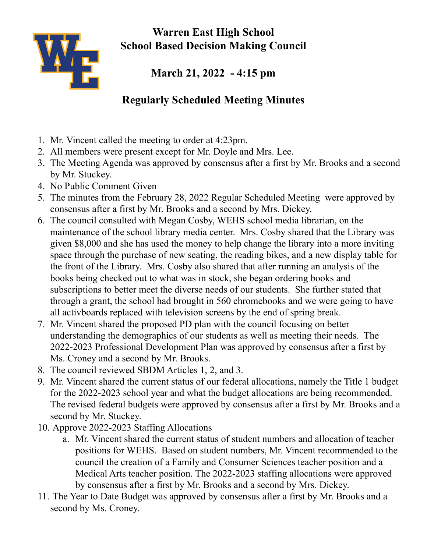

**Warren East High School School Based Decision Making Council**

**March 21, 2022 - 4:15 pm**

## **Regularly Scheduled Meeting Minutes**

- 1. Mr. Vincent called the meeting to order at 4:23pm.
- 2. All members were present except for Mr. Doyle and Mrs. Lee.
- 3. The Meeting Agenda was approved by consensus after a first by Mr. Brooks and a second by Mr. Stuckey.
- 4. No Public Comment Given
- 5. The minutes from the February 28, 2022 Regular Scheduled Meeting were approved by consensus after a first by Mr. Brooks and a second by Mrs. Dickey.
- 6. The council consulted with Megan Cosby, WEHS school media librarian, on the maintenance of the school library media center. Mrs. Cosby shared that the Library was given \$8,000 and she has used the money to help change the library into a more inviting space through the purchase of new seating, the reading bikes, and a new display table for the front of the Library. Mrs. Cosby also shared that after running an analysis of the books being checked out to what was in stock, she began ordering books and subscriptions to better meet the diverse needs of our students. She further stated that through a grant, the school had brought in 560 chromebooks and we were going to have all activboards replaced with television screens by the end of spring break.
- 7. Mr. Vincent shared the proposed PD plan with the council focusing on better understanding the demographics of our students as well as meeting their needs. The 2022-2023 Professional Development Plan was approved by consensus after a first by Ms. Croney and a second by Mr. Brooks.
- 8. The council reviewed SBDM Articles 1, 2, and 3.
- 9. Mr. Vincent shared the current status of our federal allocations, namely the Title 1 budget for the 2022-2023 school year and what the budget allocations are being recommended. The revised federal budgets were approved by consensus after a first by Mr. Brooks and a second by Mr. Stuckey.
- 10. Approve 2022-2023 Staffing Allocations
	- a. Mr. Vincent shared the current status of student numbers and allocation of teacher positions for WEHS. Based on student numbers, Mr. Vincent recommended to the council the creation of a Family and Consumer Sciences teacher position and a Medical Arts teacher position. The 2022-2023 staffing allocations were approved by consensus after a first by Mr. Brooks and a second by Mrs. Dickey.
- 11. The Year to Date Budget was approved by consensus after a first by Mr. Brooks and a second by Ms. Croney.